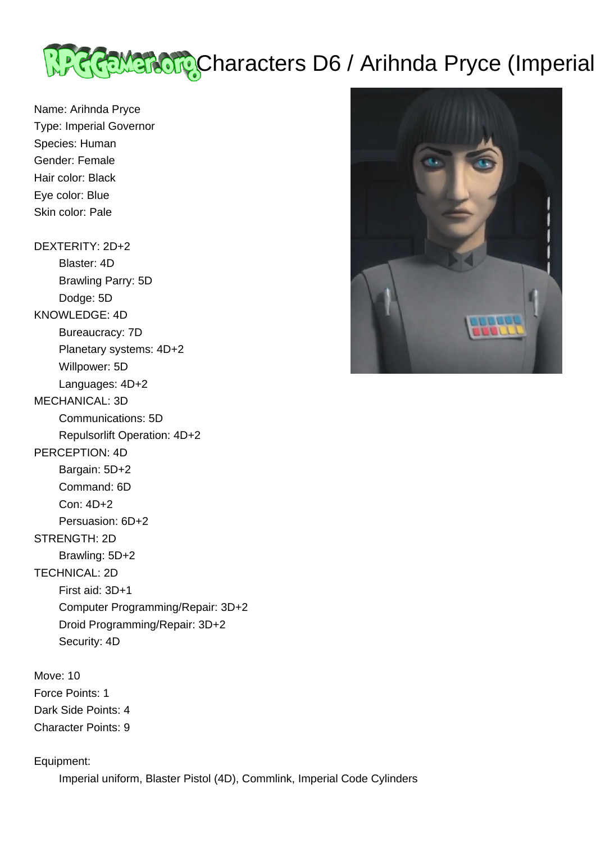

Name: Arihnda Pryce Type: Imperial Governor Species: Human Gender: Female Hair color: Black Eye color: Blue Skin color: Pale

DEXTERITY: 2D+2

 Blaster: 4D Brawling Parry: 5D

Dodge: 5D

KNOWLEDGE: 4D

 Bureaucracy: 7D Planetary systems: 4D+2

Willpower: 5D

Languages: 4D+2

MECHANICAL: 3D

Communications: 5D

Repulsorlift Operation: 4D+2

## PERCEPTION: 4D

 Bargain: 5D+2 Command: 6D Con: 4D+2 Persuasion: 6D+2 STRENGTH: 2D Brawling: 5D+2 TECHNICAL: 2D First aid: 3D+1 Computer Programming/Repair: 3D+2

Droid Programming/Repair: 3D+2

Security: 4D

Move: 10 Force Points: 1 Dark Side Points: 4 Character Points: 9

Equipment:

Imperial uniform, Blaster Pistol (4D), Commlink, Imperial Code Cylinders

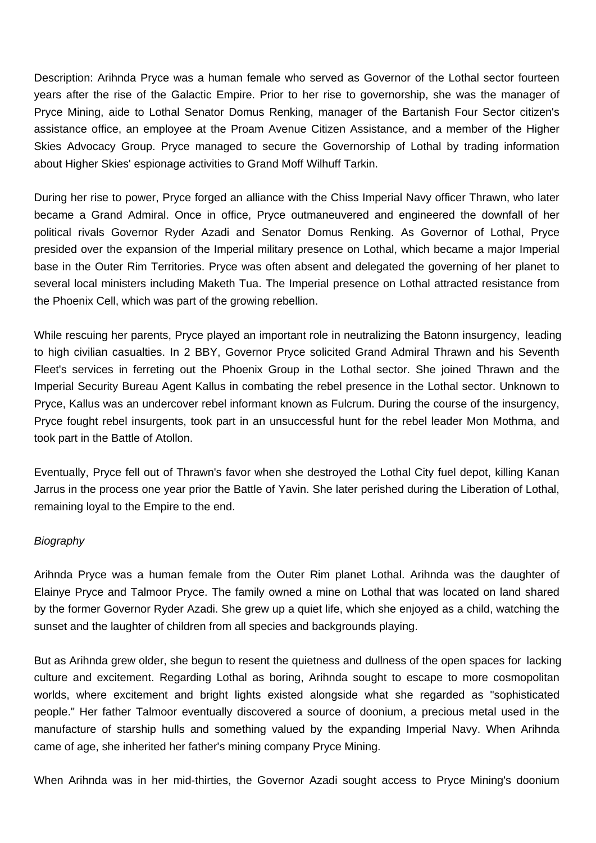Description: Arihnda Pryce was a human female who served as Governor of the Lothal sector fourteen years after the rise of the Galactic Empire. Prior to her rise to governorship, she was the manager of Pryce Mining, aide to Lothal Senator Domus Renking, manager of the Bartanish Four Sector citizen's assistance office, an employee at the Proam Avenue Citizen Assistance, and a member of the Higher Skies Advocacy Group. Pryce managed to secure the Governorship of Lothal by trading information about Higher Skies' espionage activities to Grand Moff Wilhuff Tarkin.

During her rise to power, Pryce forged an alliance with the Chiss Imperial Navy officer Thrawn, who later became a Grand Admiral. Once in office, Pryce outmaneuvered and engineered the downfall of her political rivals Governor Ryder Azadi and Senator Domus Renking. As Governor of Lothal, Pryce presided over the expansion of the Imperial military presence on Lothal, which became a major Imperial base in the Outer Rim Territories. Pryce was often absent and delegated the governing of her planet to several local ministers including Maketh Tua. The Imperial presence on Lothal attracted resistance from the Phoenix Cell, which was part of the growing rebellion.

While rescuing her parents, Pryce played an important role in neutralizing the Batonn insurgency, leading to high civilian casualties. In 2 BBY, Governor Pryce solicited Grand Admiral Thrawn and his Seventh Fleet's services in ferreting out the Phoenix Group in the Lothal sector. She joined Thrawn and the Imperial Security Bureau Agent Kallus in combating the rebel presence in the Lothal sector. Unknown to Pryce, Kallus was an undercover rebel informant known as Fulcrum. During the course of the insurgency, Pryce fought rebel insurgents, took part in an unsuccessful hunt for the rebel leader Mon Mothma, and took part in the Battle of Atollon.

Eventually, Pryce fell out of Thrawn's favor when she destroyed the Lothal City fuel depot, killing Kanan Jarrus in the process one year prior the Battle of Yavin. She later perished during the Liberation of Lothal, remaining loyal to the Empire to the end.

## **Biography**

Arihnda Pryce was a human female from the Outer Rim planet Lothal. Arihnda was the daughter of Elainye Pryce and Talmoor Pryce. The family owned a mine on Lothal that was located on land shared by the former Governor Ryder Azadi. She grew up a quiet life, which she enjoyed as a child, watching the sunset and the laughter of children from all species and backgrounds playing.

But as Arihnda grew older, she begun to resent the quietness and dullness of the open spaces for lacking culture and excitement. Regarding Lothal as boring, Arihnda sought to escape to more cosmopolitan worlds, where excitement and bright lights existed alongside what she regarded as "sophisticated people." Her father Talmoor eventually discovered a source of doonium, a precious metal used in the manufacture of starship hulls and something valued by the expanding Imperial Navy. When Arihnda came of age, she inherited her father's mining company Pryce Mining.

When Arihnda was in her mid-thirties, the Governor Azadi sought access to Pryce Mining's doonium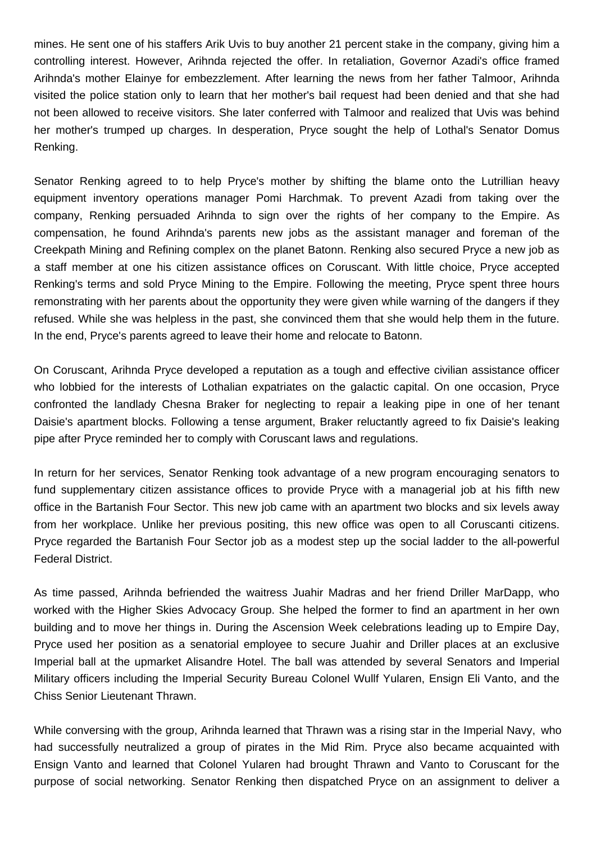mines. He sent one of his staffers Arik Uvis to buy another 21 percent stake in the company, giving him a controlling interest. However, Arihnda rejected the offer. In retaliation, Governor Azadi's office framed Arihnda's mother Elainye for embezzlement. After learning the news from her father Talmoor, Arihnda visited the police station only to learn that her mother's bail request had been denied and that she had not been allowed to receive visitors. She later conferred with Talmoor and realized that Uvis was behind her mother's trumped up charges. In desperation, Pryce sought the help of Lothal's Senator Domus Renking.

Senator Renking agreed to to help Pryce's mother by shifting the blame onto the Lutrillian heavy equipment inventory operations manager Pomi Harchmak. To prevent Azadi from taking over the company, Renking persuaded Arihnda to sign over the rights of her company to the Empire. As compensation, he found Arihnda's parents new jobs as the assistant manager and foreman of the Creekpath Mining and Refining complex on the planet Batonn. Renking also secured Pryce a new job as a staff member at one his citizen assistance offices on Coruscant. With little choice, Pryce accepted Renking's terms and sold Pryce Mining to the Empire. Following the meeting, Pryce spent three hours remonstrating with her parents about the opportunity they were given while warning of the dangers if they refused. While she was helpless in the past, she convinced them that she would help them in the future. In the end, Pryce's parents agreed to leave their home and relocate to Batonn.

On Coruscant, Arihnda Pryce developed a reputation as a tough and effective civilian assistance officer who lobbied for the interests of Lothalian expatriates on the galactic capital. On one occasion, Pryce confronted the landlady Chesna Braker for neglecting to repair a leaking pipe in one of her tenant Daisie's apartment blocks. Following a tense argument, Braker reluctantly agreed to fix Daisie's leaking pipe after Pryce reminded her to comply with Coruscant laws and regulations.

In return for her services, Senator Renking took advantage of a new program encouraging senators to fund supplementary citizen assistance offices to provide Pryce with a managerial job at his fifth new office in the Bartanish Four Sector. This new job came with an apartment two blocks and six levels away from her workplace. Unlike her previous positing, this new office was open to all Coruscanti citizens. Pryce regarded the Bartanish Four Sector job as a modest step up the social ladder to the all-powerful Federal District.

As time passed, Arihnda befriended the waitress Juahir Madras and her friend Driller MarDapp, who worked with the Higher Skies Advocacy Group. She helped the former to find an apartment in her own building and to move her things in. During the Ascension Week celebrations leading up to Empire Day, Pryce used her position as a senatorial employee to secure Juahir and Driller places at an exclusive Imperial ball at the upmarket Alisandre Hotel. The ball was attended by several Senators and Imperial Military officers including the Imperial Security Bureau Colonel Wullf Yularen, Ensign Eli Vanto, and the Chiss Senior Lieutenant Thrawn.

While conversing with the group, Arihnda learned that Thrawn was a rising star in the Imperial Navy, who had successfully neutralized a group of pirates in the Mid Rim. Pryce also became acquainted with Ensign Vanto and learned that Colonel Yularen had brought Thrawn and Vanto to Coruscant for the purpose of social networking. Senator Renking then dispatched Pryce on an assignment to deliver a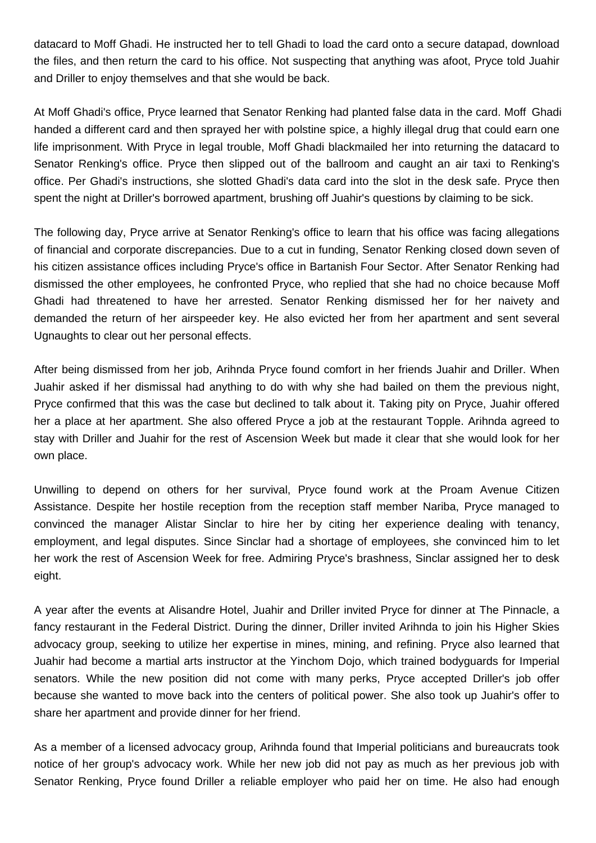datacard to Moff Ghadi. He instructed her to tell Ghadi to load the card onto a secure datapad, download the files, and then return the card to his office. Not suspecting that anything was afoot, Pryce told Juahir and Driller to enjoy themselves and that she would be back.

At Moff Ghadi's office, Pryce learned that Senator Renking had planted false data in the card. Moff Ghadi handed a different card and then sprayed her with polstine spice, a highly illegal drug that could earn one life imprisonment. With Pryce in legal trouble, Moff Ghadi blackmailed her into returning the datacard to Senator Renking's office. Pryce then slipped out of the ballroom and caught an air taxi to Renking's office. Per Ghadi's instructions, she slotted Ghadi's data card into the slot in the desk safe. Pryce then spent the night at Driller's borrowed apartment, brushing off Juahir's questions by claiming to be sick.

The following day, Pryce arrive at Senator Renking's office to learn that his office was facing allegations of financial and corporate discrepancies. Due to a cut in funding, Senator Renking closed down seven of his citizen assistance offices including Pryce's office in Bartanish Four Sector. After Senator Renking had dismissed the other employees, he confronted Pryce, who replied that she had no choice because Moff Ghadi had threatened to have her arrested. Senator Renking dismissed her for her naivety and demanded the return of her airspeeder key. He also evicted her from her apartment and sent several Ugnaughts to clear out her personal effects.

After being dismissed from her job, Arihnda Pryce found comfort in her friends Juahir and Driller. When Juahir asked if her dismissal had anything to do with why she had bailed on them the previous night, Pryce confirmed that this was the case but declined to talk about it. Taking pity on Pryce, Juahir offered her a place at her apartment. She also offered Pryce a job at the restaurant Topple. Arihnda agreed to stay with Driller and Juahir for the rest of Ascension Week but made it clear that she would look for her own place.

Unwilling to depend on others for her survival, Pryce found work at the Proam Avenue Citizen Assistance. Despite her hostile reception from the reception staff member Nariba, Pryce managed to convinced the manager Alistar Sinclar to hire her by citing her experience dealing with tenancy, employment, and legal disputes. Since Sinclar had a shortage of employees, she convinced him to let her work the rest of Ascension Week for free. Admiring Pryce's brashness, Sinclar assigned her to desk eight.

A year after the events at Alisandre Hotel, Juahir and Driller invited Pryce for dinner at The Pinnacle, a fancy restaurant in the Federal District. During the dinner, Driller invited Arihnda to join his Higher Skies advocacy group, seeking to utilize her expertise in mines, mining, and refining. Pryce also learned that Juahir had become a martial arts instructor at the Yinchom Dojo, which trained bodyguards for Imperial senators. While the new position did not come with many perks, Pryce accepted Driller's job offer because she wanted to move back into the centers of political power. She also took up Juahir's offer to share her apartment and provide dinner for her friend.

As a member of a licensed advocacy group, Arihnda found that Imperial politicians and bureaucrats took notice of her group's advocacy work. While her new job did not pay as much as her previous job with Senator Renking, Pryce found Driller a reliable employer who paid her on time. He also had enough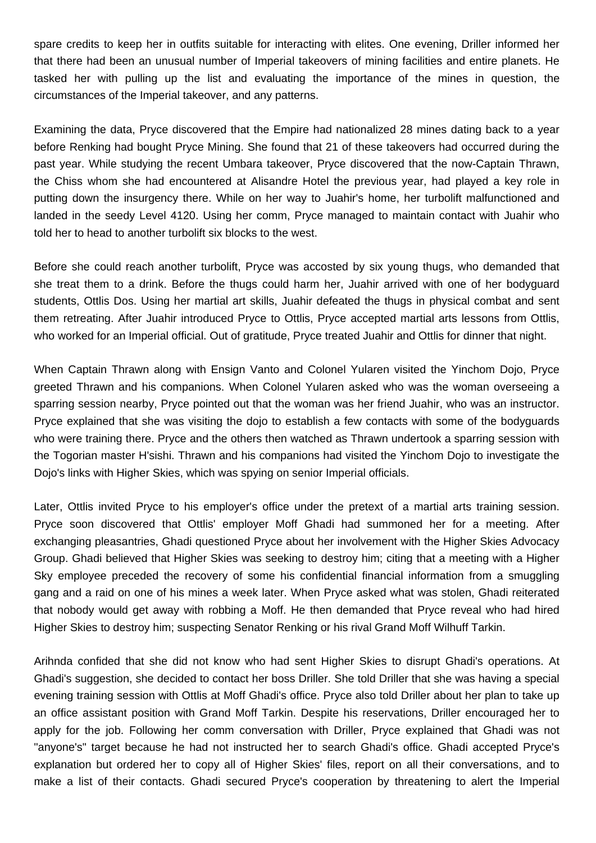spare credits to keep her in outfits suitable for interacting with elites. One evening, Driller informed her that there had been an unusual number of Imperial takeovers of mining facilities and entire planets. He tasked her with pulling up the list and evaluating the importance of the mines in question, the circumstances of the Imperial takeover, and any patterns.

Examining the data, Pryce discovered that the Empire had nationalized 28 mines dating back to a year before Renking had bought Pryce Mining. She found that 21 of these takeovers had occurred during the past year. While studying the recent Umbara takeover, Pryce discovered that the now-Captain Thrawn, the Chiss whom she had encountered at Alisandre Hotel the previous year, had played a key role in putting down the insurgency there. While on her way to Juahir's home, her turbolift malfunctioned and landed in the seedy Level 4120. Using her comm, Pryce managed to maintain contact with Juahir who told her to head to another turbolift six blocks to the west.

Before she could reach another turbolift, Pryce was accosted by six young thugs, who demanded that she treat them to a drink. Before the thugs could harm her, Juahir arrived with one of her bodyguard students, Ottlis Dos. Using her martial art skills, Juahir defeated the thugs in physical combat and sent them retreating. After Juahir introduced Pryce to Ottlis, Pryce accepted martial arts lessons from Ottlis, who worked for an Imperial official. Out of gratitude, Pryce treated Juahir and Ottlis for dinner that night.

When Captain Thrawn along with Ensign Vanto and Colonel Yularen visited the Yinchom Dojo, Pryce greeted Thrawn and his companions. When Colonel Yularen asked who was the woman overseeing a sparring session nearby, Pryce pointed out that the woman was her friend Juahir, who was an instructor. Pryce explained that she was visiting the dojo to establish a few contacts with some of the bodyguards who were training there. Pryce and the others then watched as Thrawn undertook a sparring session with the Togorian master H'sishi. Thrawn and his companions had visited the Yinchom Dojo to investigate the Dojo's links with Higher Skies, which was spying on senior Imperial officials.

Later, Ottlis invited Pryce to his employer's office under the pretext of a martial arts training session. Pryce soon discovered that Ottlis' employer Moff Ghadi had summoned her for a meeting. After exchanging pleasantries, Ghadi questioned Pryce about her involvement with the Higher Skies Advocacy Group. Ghadi believed that Higher Skies was seeking to destroy him; citing that a meeting with a Higher Sky employee preceded the recovery of some his confidential financial information from a smuggling gang and a raid on one of his mines a week later. When Pryce asked what was stolen, Ghadi reiterated that nobody would get away with robbing a Moff. He then demanded that Pryce reveal who had hired Higher Skies to destroy him; suspecting Senator Renking or his rival Grand Moff Wilhuff Tarkin.

Arihnda confided that she did not know who had sent Higher Skies to disrupt Ghadi's operations. At Ghadi's suggestion, she decided to contact her boss Driller. She told Driller that she was having a special evening training session with Ottlis at Moff Ghadi's office. Pryce also told Driller about her plan to take up an office assistant position with Grand Moff Tarkin. Despite his reservations, Driller encouraged her to apply for the job. Following her comm conversation with Driller, Pryce explained that Ghadi was not "anyone's" target because he had not instructed her to search Ghadi's office. Ghadi accepted Pryce's explanation but ordered her to copy all of Higher Skies' files, report on all their conversations, and to make a list of their contacts. Ghadi secured Pryce's cooperation by threatening to alert the Imperial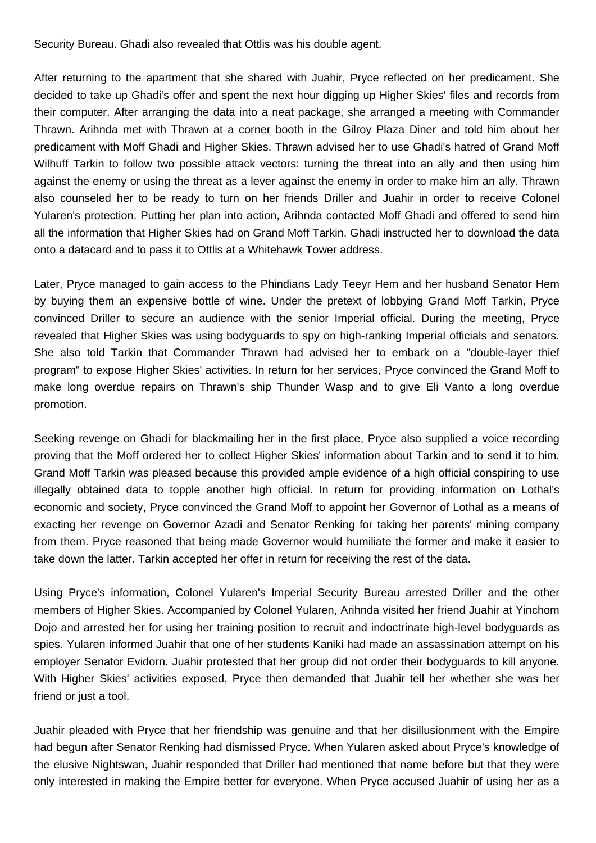Security Bureau. Ghadi also revealed that Ottlis was his double agent.

After returning to the apartment that she shared with Juahir, Pryce reflected on her predicament. She decided to take up Ghadi's offer and spent the next hour digging up Higher Skies' files and records from their computer. After arranging the data into a neat package, she arranged a meeting with Commander Thrawn. Arihnda met with Thrawn at a corner booth in the Gilroy Plaza Diner and told him about her predicament with Moff Ghadi and Higher Skies. Thrawn advised her to use Ghadi's hatred of Grand Moff Wilhuff Tarkin to follow two possible attack vectors: turning the threat into an ally and then using him against the enemy or using the threat as a lever against the enemy in order to make him an ally. Thrawn also counseled her to be ready to turn on her friends Driller and Juahir in order to receive Colonel Yularen's protection. Putting her plan into action, Arihnda contacted Moff Ghadi and offered to send him all the information that Higher Skies had on Grand Moff Tarkin. Ghadi instructed her to download the data onto a datacard and to pass it to Ottlis at a Whitehawk Tower address.

Later, Pryce managed to gain access to the Phindians Lady Teeyr Hem and her husband Senator Hem by buying them an expensive bottle of wine. Under the pretext of lobbying Grand Moff Tarkin, Pryce convinced Driller to secure an audience with the senior Imperial official. During the meeting, Pryce revealed that Higher Skies was using bodyguards to spy on high-ranking Imperial officials and senators. She also told Tarkin that Commander Thrawn had advised her to embark on a "double-layer thief program" to expose Higher Skies' activities. In return for her services, Pryce convinced the Grand Moff to make long overdue repairs on Thrawn's ship Thunder Wasp and to give Eli Vanto a long overdue promotion.

Seeking revenge on Ghadi for blackmailing her in the first place, Pryce also supplied a voice recording proving that the Moff ordered her to collect Higher Skies' information about Tarkin and to send it to him. Grand Moff Tarkin was pleased because this provided ample evidence of a high official conspiring to use illegally obtained data to topple another high official. In return for providing information on Lothal's economic and society, Pryce convinced the Grand Moff to appoint her Governor of Lothal as a means of exacting her revenge on Governor Azadi and Senator Renking for taking her parents' mining company from them. Pryce reasoned that being made Governor would humiliate the former and make it easier to take down the latter. Tarkin accepted her offer in return for receiving the rest of the data.

Using Pryce's information, Colonel Yularen's Imperial Security Bureau arrested Driller and the other members of Higher Skies. Accompanied by Colonel Yularen, Arihnda visited her friend Juahir at Yinchom Dojo and arrested her for using her training position to recruit and indoctrinate high-level bodyguards as spies. Yularen informed Juahir that one of her students Kaniki had made an assassination attempt on his employer Senator Evidorn. Juahir protested that her group did not order their bodyguards to kill anyone. With Higher Skies' activities exposed, Pryce then demanded that Juahir tell her whether she was her friend or just a tool.

Juahir pleaded with Pryce that her friendship was genuine and that her disillusionment with the Empire had begun after Senator Renking had dismissed Pryce. When Yularen asked about Pryce's knowledge of the elusive Nightswan, Juahir responded that Driller had mentioned that name before but that they were only interested in making the Empire better for everyone. When Pryce accused Juahir of using her as a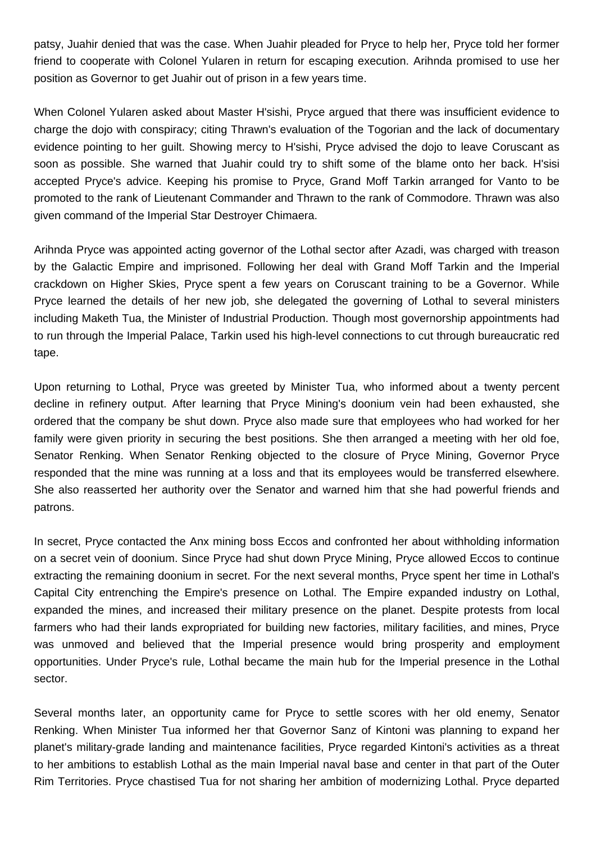patsy, Juahir denied that was the case. When Juahir pleaded for Pryce to help her, Pryce told her former friend to cooperate with Colonel Yularen in return for escaping execution. Arihnda promised to use her position as Governor to get Juahir out of prison in a few years time.

When Colonel Yularen asked about Master H'sishi, Pryce argued that there was insufficient evidence to charge the dojo with conspiracy; citing Thrawn's evaluation of the Togorian and the lack of documentary evidence pointing to her guilt. Showing mercy to H'sishi, Pryce advised the dojo to leave Coruscant as soon as possible. She warned that Juahir could try to shift some of the blame onto her back. H'sisi accepted Pryce's advice. Keeping his promise to Pryce, Grand Moff Tarkin arranged for Vanto to be promoted to the rank of Lieutenant Commander and Thrawn to the rank of Commodore. Thrawn was also given command of the Imperial Star Destroyer Chimaera.

Arihnda Pryce was appointed acting governor of the Lothal sector after Azadi, was charged with treason by the Galactic Empire and imprisoned. Following her deal with Grand Moff Tarkin and the Imperial crackdown on Higher Skies, Pryce spent a few years on Coruscant training to be a Governor. While Pryce learned the details of her new job, she delegated the governing of Lothal to several ministers including Maketh Tua, the Minister of Industrial Production. Though most governorship appointments had to run through the Imperial Palace, Tarkin used his high-level connections to cut through bureaucratic red tape.

Upon returning to Lothal, Pryce was greeted by Minister Tua, who informed about a twenty percent decline in refinery output. After learning that Pryce Mining's doonium vein had been exhausted, she ordered that the company be shut down. Pryce also made sure that employees who had worked for her family were given priority in securing the best positions. She then arranged a meeting with her old foe, Senator Renking. When Senator Renking objected to the closure of Pryce Mining, Governor Pryce responded that the mine was running at a loss and that its employees would be transferred elsewhere. She also reasserted her authority over the Senator and warned him that she had powerful friends and patrons.

In secret, Pryce contacted the Anx mining boss Eccos and confronted her about withholding information on a secret vein of doonium. Since Pryce had shut down Pryce Mining, Pryce allowed Eccos to continue extracting the remaining doonium in secret. For the next several months, Pryce spent her time in Lothal's Capital City entrenching the Empire's presence on Lothal. The Empire expanded industry on Lothal, expanded the mines, and increased their military presence on the planet. Despite protests from local farmers who had their lands expropriated for building new factories, military facilities, and mines, Pryce was unmoved and believed that the Imperial presence would bring prosperity and employment opportunities. Under Pryce's rule, Lothal became the main hub for the Imperial presence in the Lothal sector.

Several months later, an opportunity came for Pryce to settle scores with her old enemy, Senator Renking. When Minister Tua informed her that Governor Sanz of Kintoni was planning to expand her planet's military-grade landing and maintenance facilities, Pryce regarded Kintoni's activities as a threat to her ambitions to establish Lothal as the main Imperial naval base and center in that part of the Outer Rim Territories. Pryce chastised Tua for not sharing her ambition of modernizing Lothal. Pryce departed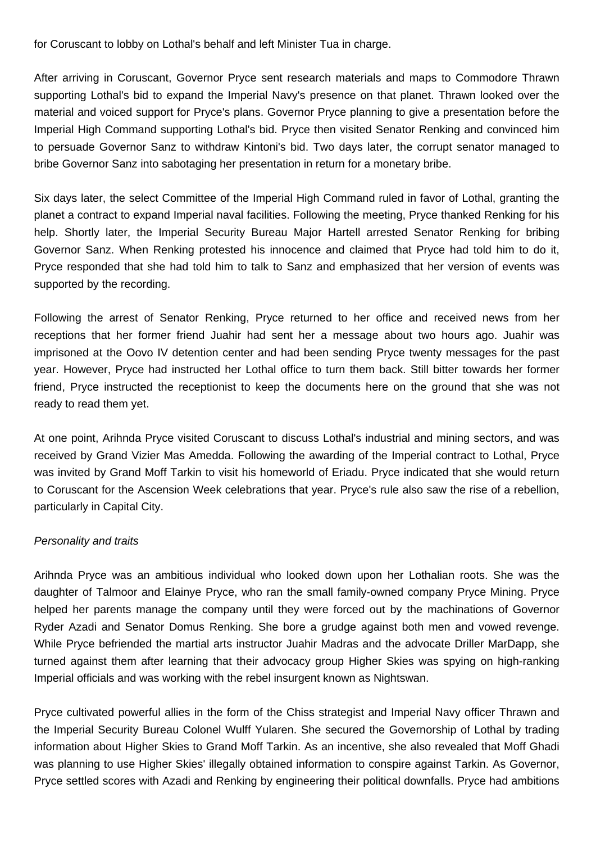for Coruscant to lobby on Lothal's behalf and left Minister Tua in charge.

After arriving in Coruscant, Governor Pryce sent research materials and maps to Commodore Thrawn supporting Lothal's bid to expand the Imperial Navy's presence on that planet. Thrawn looked over the material and voiced support for Pryce's plans. Governor Pryce planning to give a presentation before the Imperial High Command supporting Lothal's bid. Pryce then visited Senator Renking and convinced him to persuade Governor Sanz to withdraw Kintoni's bid. Two days later, the corrupt senator managed to bribe Governor Sanz into sabotaging her presentation in return for a monetary bribe.

Six days later, the select Committee of the Imperial High Command ruled in favor of Lothal, granting the planet a contract to expand Imperial naval facilities. Following the meeting, Pryce thanked Renking for his help. Shortly later, the Imperial Security Bureau Major Hartell arrested Senator Renking for bribing Governor Sanz. When Renking protested his innocence and claimed that Pryce had told him to do it, Pryce responded that she had told him to talk to Sanz and emphasized that her version of events was supported by the recording.

Following the arrest of Senator Renking, Pryce returned to her office and received news from her receptions that her former friend Juahir had sent her a message about two hours ago. Juahir was imprisoned at the Oovo IV detention center and had been sending Pryce twenty messages for the past year. However, Pryce had instructed her Lothal office to turn them back. Still bitter towards her former friend, Pryce instructed the receptionist to keep the documents here on the ground that she was not ready to read them yet.

At one point, Arihnda Pryce visited Coruscant to discuss Lothal's industrial and mining sectors, and was received by Grand Vizier Mas Amedda. Following the awarding of the Imperial contract to Lothal, Pryce was invited by Grand Moff Tarkin to visit his homeworld of Eriadu. Pryce indicated that she would return to Coruscant for the Ascension Week celebrations that year. Pryce's rule also saw the rise of a rebellion, particularly in Capital City.

## Personality and traits

Arihnda Pryce was an ambitious individual who looked down upon her Lothalian roots. She was the daughter of Talmoor and Elainye Pryce, who ran the small family-owned company Pryce Mining. Pryce helped her parents manage the company until they were forced out by the machinations of Governor Ryder Azadi and Senator Domus Renking. She bore a grudge against both men and vowed revenge. While Pryce befriended the martial arts instructor Juahir Madras and the advocate Driller MarDapp, she turned against them after learning that their advocacy group Higher Skies was spying on high-ranking Imperial officials and was working with the rebel insurgent known as Nightswan.

Pryce cultivated powerful allies in the form of the Chiss strategist and Imperial Navy officer Thrawn and the Imperial Security Bureau Colonel Wulff Yularen. She secured the Governorship of Lothal by trading information about Higher Skies to Grand Moff Tarkin. As an incentive, she also revealed that Moff Ghadi was planning to use Higher Skies' illegally obtained information to conspire against Tarkin. As Governor, Pryce settled scores with Azadi and Renking by engineering their political downfalls. Pryce had ambitions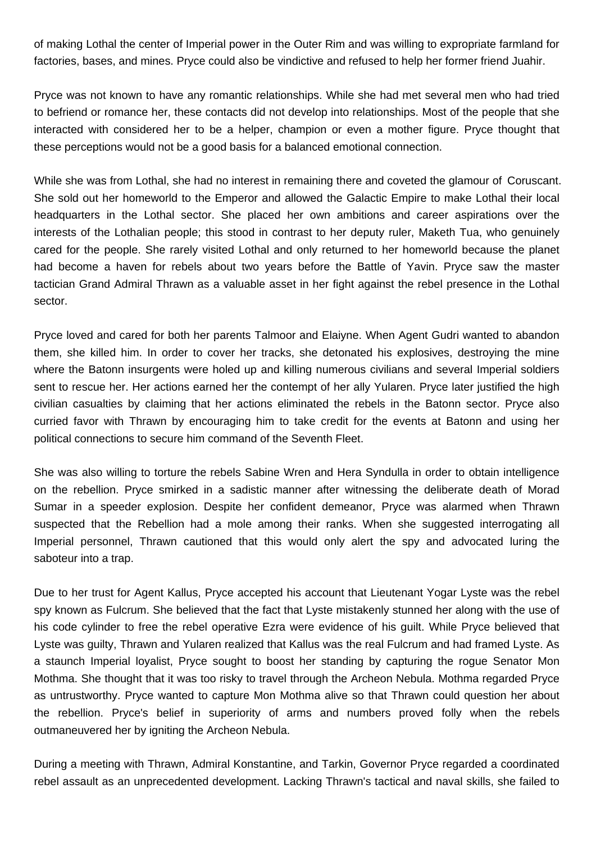of making Lothal the center of Imperial power in the Outer Rim and was willing to expropriate farmland for factories, bases, and mines. Pryce could also be vindictive and refused to help her former friend Juahir.

Pryce was not known to have any romantic relationships. While she had met several men who had tried to befriend or romance her, these contacts did not develop into relationships. Most of the people that she interacted with considered her to be a helper, champion or even a mother figure. Pryce thought that these perceptions would not be a good basis for a balanced emotional connection.

While she was from Lothal, she had no interest in remaining there and coveted the glamour of Coruscant. She sold out her homeworld to the Emperor and allowed the Galactic Empire to make Lothal their local headquarters in the Lothal sector. She placed her own ambitions and career aspirations over the interests of the Lothalian people; this stood in contrast to her deputy ruler, Maketh Tua, who genuinely cared for the people. She rarely visited Lothal and only returned to her homeworld because the planet had become a haven for rebels about two years before the Battle of Yavin. Pryce saw the master tactician Grand Admiral Thrawn as a valuable asset in her fight against the rebel presence in the Lothal sector.

Pryce loved and cared for both her parents Talmoor and Elaiyne. When Agent Gudri wanted to abandon them, she killed him. In order to cover her tracks, she detonated his explosives, destroying the mine where the Batonn insurgents were holed up and killing numerous civilians and several Imperial soldiers sent to rescue her. Her actions earned her the contempt of her ally Yularen. Pryce later justified the high civilian casualties by claiming that her actions eliminated the rebels in the Batonn sector. Pryce also curried favor with Thrawn by encouraging him to take credit for the events at Batonn and using her political connections to secure him command of the Seventh Fleet.

She was also willing to torture the rebels Sabine Wren and Hera Syndulla in order to obtain intelligence on the rebellion. Pryce smirked in a sadistic manner after witnessing the deliberate death of Morad Sumar in a speeder explosion. Despite her confident demeanor, Pryce was alarmed when Thrawn suspected that the Rebellion had a mole among their ranks. When she suggested interrogating all Imperial personnel, Thrawn cautioned that this would only alert the spy and advocated luring the saboteur into a trap.

Due to her trust for Agent Kallus, Pryce accepted his account that Lieutenant Yogar Lyste was the rebel spy known as Fulcrum. She believed that the fact that Lyste mistakenly stunned her along with the use of his code cylinder to free the rebel operative Ezra were evidence of his guilt. While Pryce believed that Lyste was guilty, Thrawn and Yularen realized that Kallus was the real Fulcrum and had framed Lyste. As a staunch Imperial loyalist, Pryce sought to boost her standing by capturing the rogue Senator Mon Mothma. She thought that it was too risky to travel through the Archeon Nebula. Mothma regarded Pryce as untrustworthy. Pryce wanted to capture Mon Mothma alive so that Thrawn could question her about the rebellion. Pryce's belief in superiority of arms and numbers proved folly when the rebels outmaneuvered her by igniting the Archeon Nebula.

During a meeting with Thrawn, Admiral Konstantine, and Tarkin, Governor Pryce regarded a coordinated rebel assault as an unprecedented development. Lacking Thrawn's tactical and naval skills, she failed to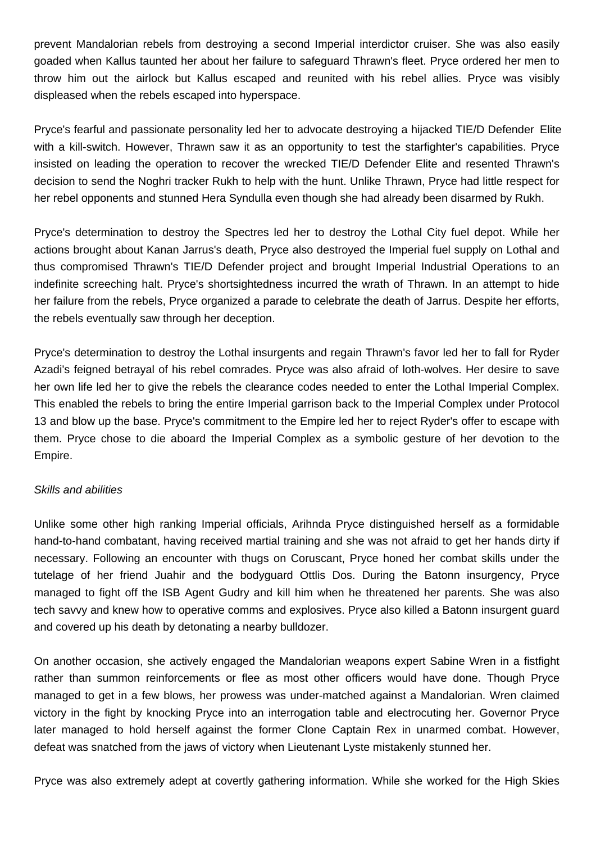prevent Mandalorian rebels from destroying a second Imperial interdictor cruiser. She was also easily goaded when Kallus taunted her about her failure to safeguard Thrawn's fleet. Pryce ordered her men to throw him out the airlock but Kallus escaped and reunited with his rebel allies. Pryce was visibly displeased when the rebels escaped into hyperspace.

Pryce's fearful and passionate personality led her to advocate destroying a hijacked TIE/D Defender Elite with a kill-switch. However, Thrawn saw it as an opportunity to test the starfighter's capabilities. Pryce insisted on leading the operation to recover the wrecked TIE/D Defender Elite and resented Thrawn's decision to send the Noghri tracker Rukh to help with the hunt. Unlike Thrawn, Pryce had little respect for her rebel opponents and stunned Hera Syndulla even though she had already been disarmed by Rukh.

Pryce's determination to destroy the Spectres led her to destroy the Lothal City fuel depot. While her actions brought about Kanan Jarrus's death, Pryce also destroyed the Imperial fuel supply on Lothal and thus compromised Thrawn's TIE/D Defender project and brought Imperial Industrial Operations to an indefinite screeching halt. Pryce's shortsightedness incurred the wrath of Thrawn. In an attempt to hide her failure from the rebels, Pryce organized a parade to celebrate the death of Jarrus. Despite her efforts, the rebels eventually saw through her deception.

Pryce's determination to destroy the Lothal insurgents and regain Thrawn's favor led her to fall for Ryder Azadi's feigned betrayal of his rebel comrades. Pryce was also afraid of loth-wolves. Her desire to save her own life led her to give the rebels the clearance codes needed to enter the Lothal Imperial Complex. This enabled the rebels to bring the entire Imperial garrison back to the Imperial Complex under Protocol 13 and blow up the base. Pryce's commitment to the Empire led her to reject Ryder's offer to escape with them. Pryce chose to die aboard the Imperial Complex as a symbolic gesture of her devotion to the Empire.

## Skills and abilities

Unlike some other high ranking Imperial officials, Arihnda Pryce distinguished herself as a formidable hand-to-hand combatant, having received martial training and she was not afraid to get her hands dirty if necessary. Following an encounter with thugs on Coruscant, Pryce honed her combat skills under the tutelage of her friend Juahir and the bodyguard Ottlis Dos. During the Batonn insurgency, Pryce managed to fight off the ISB Agent Gudry and kill him when he threatened her parents. She was also tech savvy and knew how to operative comms and explosives. Pryce also killed a Batonn insurgent guard and covered up his death by detonating a nearby bulldozer.

On another occasion, she actively engaged the Mandalorian weapons expert Sabine Wren in a fistfight rather than summon reinforcements or flee as most other officers would have done. Though Pryce managed to get in a few blows, her prowess was under-matched against a Mandalorian. Wren claimed victory in the fight by knocking Pryce into an interrogation table and electrocuting her. Governor Pryce later managed to hold herself against the former Clone Captain Rex in unarmed combat. However, defeat was snatched from the jaws of victory when Lieutenant Lyste mistakenly stunned her.

Pryce was also extremely adept at covertly gathering information. While she worked for the High Skies